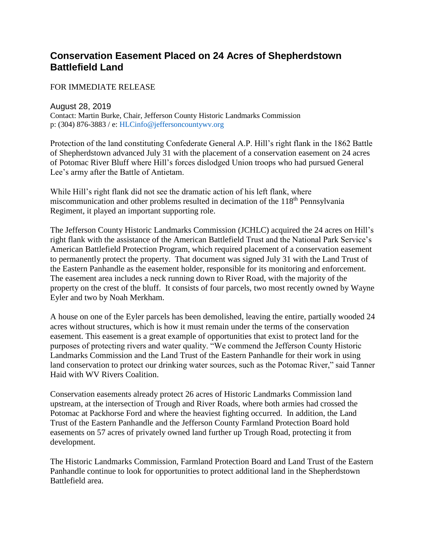## **Conservation Easement Placed on 24 Acres of Shepherdstown Battlefield Land**

FOR IMMEDIATE RELEASE

August 28, 2019

Contact: Martin Burke, Chair, Jefferson County Historic Landmarks Commission p: (304) 876-3883 / e: HLCinfo@jeffersoncountywv.org

Protection of the land constituting Confederate General A.P. Hill's right flank in the 1862 Battle of Shepherdstown advanced July 31 with the placement of a conservation easement on 24 acres of Potomac River Bluff where Hill's forces dislodged Union troops who had pursued General Lee's army after the Battle of Antietam.

While Hill's right flank did not see the dramatic action of his left flank, where miscommunication and other problems resulted in decimation of the 118<sup>th</sup> Pennsylvania Regiment, it played an important supporting role.

The Jefferson County Historic Landmarks Commission (JCHLC) acquired the 24 acres on Hill's right flank with the assistance of the American Battlefield Trust and the National Park Service's American Battlefield Protection Program, which required placement of a conservation easement to permanently protect the property. That document was signed July 31 with the Land Trust of the Eastern Panhandle as the easement holder, responsible for its monitoring and enforcement. The easement area includes a neck running down to River Road, with the majority of the property on the crest of the bluff. It consists of four parcels, two most recently owned by Wayne Eyler and two by Noah Merkham.

A house on one of the Eyler parcels has been demolished, leaving the entire, partially wooded 24 acres without structures, which is how it must remain under the terms of the conservation easement. This easement is a great example of opportunities that exist to protect land for the purposes of protecting rivers and water quality. "We commend the Jefferson County Historic Landmarks Commission and the Land Trust of the Eastern Panhandle for their work in using land conservation to protect our drinking water sources, such as the Potomac River," said Tanner Haid with WV Rivers Coalition.

Conservation easements already protect 26 acres of Historic Landmarks Commission land upstream, at the intersection of Trough and River Roads, where both armies had crossed the Potomac at Packhorse Ford and where the heaviest fighting occurred. In addition, the Land Trust of the Eastern Panhandle and the Jefferson County Farmland Protection Board hold easements on 57 acres of privately owned land further up Trough Road, protecting it from development.

The Historic Landmarks Commission, Farmland Protection Board and Land Trust of the Eastern Panhandle continue to look for opportunities to protect additional land in the Shepherdstown Battlefield area.